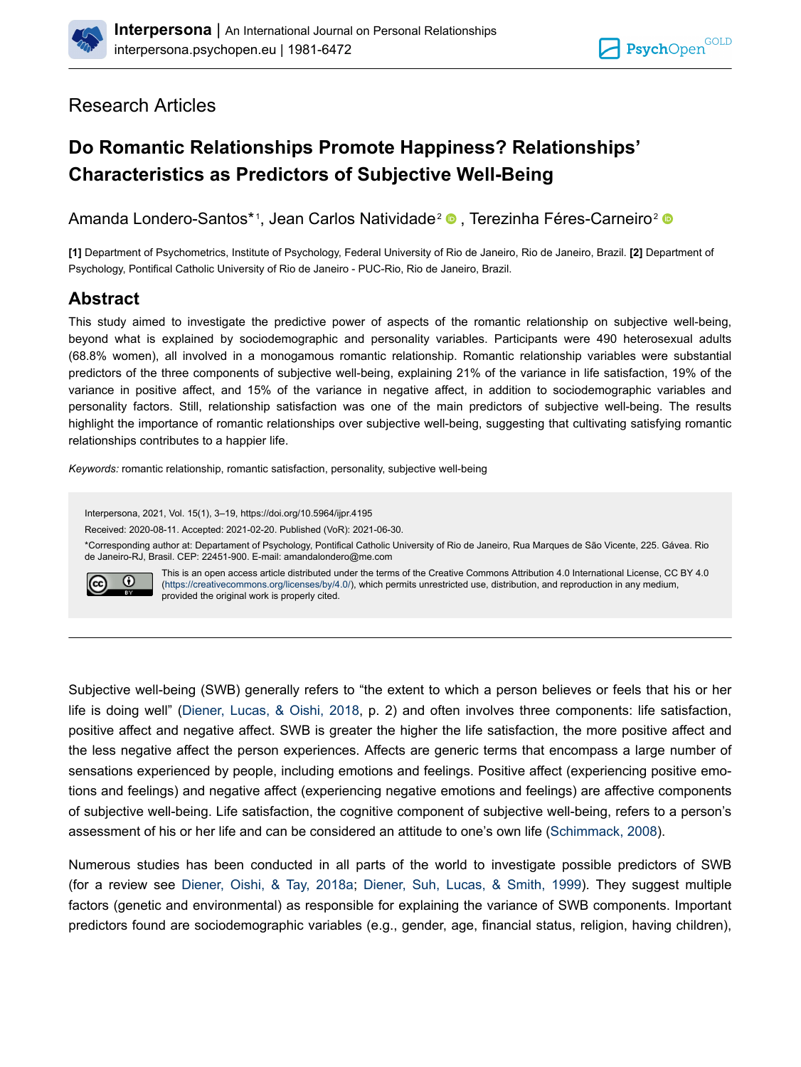

## Research Articles

# **Do Romantic Relationships Promote Happiness? Relationships' Characteristics as Predictors of Subjective Well-Being**

Amanda Londero-Santos\* <sup>1</sup> , Jean Carlos Natividade<sup>2</sup> [,](https://orcid.org/0000-0002-3264-9352) Terezinha Féres-Carneiro<sup>2</sup>

**[1]** Department of Psychometrics, Institute of Psychology, Federal University of Rio de Janeiro, Rio de Janeiro, Brazil. **[2]** Department of Psychology, Pontifical Catholic University of Rio de Janeiro - PUC-Rio, Rio de Janeiro, Brazil.

## **Abstract**

This study aimed to investigate the predictive power of aspects of the romantic relationship on subjective well-being, beyond what is explained by sociodemographic and personality variables. Participants were 490 heterosexual adults (68.8% women), all involved in a monogamous romantic relationship. Romantic relationship variables were substantial predictors of the three components of subjective well-being, explaining 21% of the variance in life satisfaction, 19% of the variance in positive affect, and 15% of the variance in negative affect, in addition to sociodemographic variables and personality factors. Still, relationship satisfaction was one of the main predictors of subjective well-being. The results highlight the importance of romantic relationships over subjective well-being, suggesting that cultivating satisfying romantic relationships contributes to a happier life.

*Keywords:* romantic relationship, romantic satisfaction, personality, subjective well-being

Interpersona, 2021, Vol. 15(1), 3–19, https://doi.org/10.5964/ijpr.4195 Received: 2020-08-11. Accepted: 2021-02-20. Published (VoR): 2021-06-30. \*Corresponding author at: Departament of Psychology, Pontifical Catholic University of Rio de Janeiro, Rua Marques de São Vicente, 225. Gávea. Rio de Janeiro-RJ, Brasil. CEP: 22451-900. E-mail: amandalondero@me.com This is an open access article distributed under the terms of the Creative Commons Attribution 4.0 International License, CC BY 4.0  $\overline{0}$  $\left(\mathrm{cc}\right)$ ([https://creativecommons.org/licenses/by/4.0/\)](https://creativecommons.org/licenses/by/4.0/), which permits unrestricted use, distribution, and reproduction in any medium, provided the original work is properly cited.

Subjective well-being (SWB) generally refers to "the extent to which a person believes or feels that his or her life is doing well" ([Diener, Lucas, & Oishi, 2018](#page-12-0), p. 2) and often involves three components: life satisfaction, positive affect and negative affect. SWB is greater the higher the life satisfaction, the more positive affect and the less negative affect the person experiences. Affects are generic terms that encompass a large number of sensations experienced by people, including emotions and feelings. Positive affect (experiencing positive emotions and feelings) and negative affect (experiencing negative emotions and feelings) are affective components of subjective well-being. Life satisfaction, the cognitive component of subjective well-being, refers to a person's assessment of his or her life and can be considered an attitude to one's own life [\(Schimmack, 2008\)](#page-15-0).

Numerous studies has been conducted in all parts of the world to investigate possible predictors of SWB (for a review see [Diener, Oishi, & Tay, 2018a;](#page-12-0) [Diener, Suh, Lucas, & Smith, 1999\)](#page-12-0). They suggest multiple factors (genetic and environmental) as responsible for explaining the variance of SWB components. Important predictors found are sociodemographic variables (e.g., gender, age, financial status, religion, having children),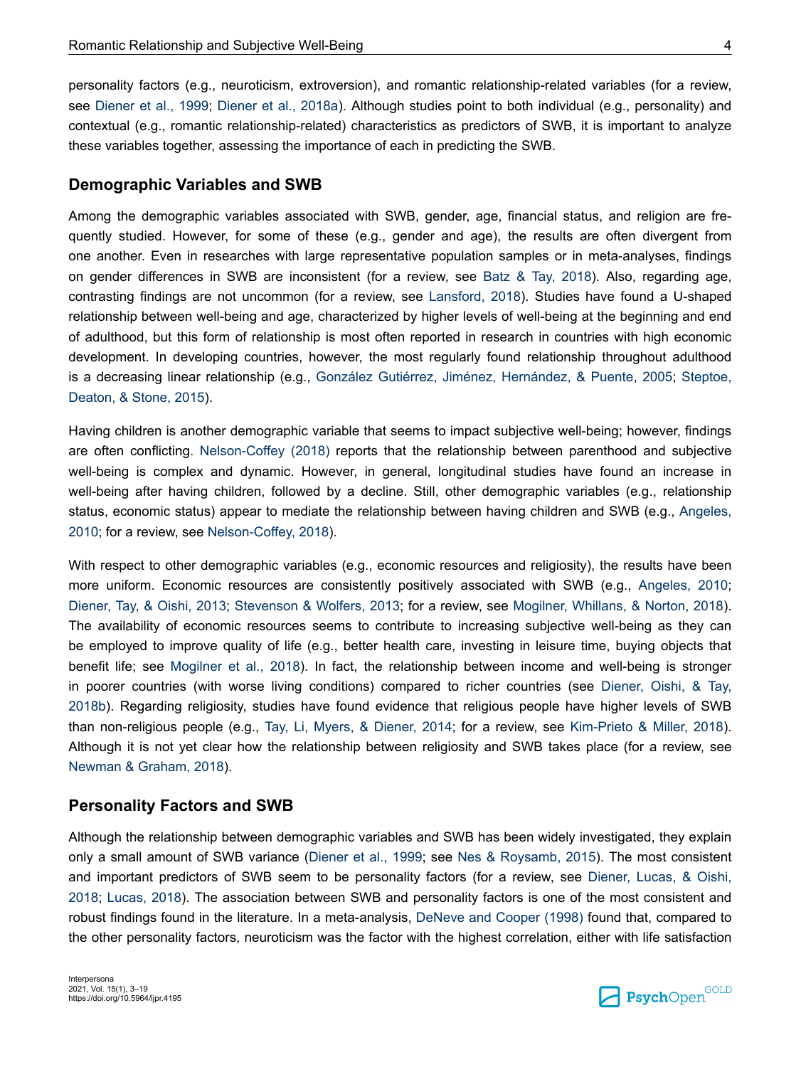personality factors (e.g., neuroticism, extroversion), and romantic relationship-related variables (for a review, see [Diener et al., 1999](#page-12-0); [Diener et al., 2018a\)](#page-12-0). Although studies point to both individual (e.g., personality) and contextual (e.g., romantic relationship-related) characteristics as predictors of SWB, it is important to analyze these variables together, assessing the importance of each in predicting the SWB.

#### **Demographic Variables and SWB**

Among the demographic variables associated with SWB, gender, age, financial status, and religion are frequently studied. However, for some of these (e.g., gender and age), the results are often divergent from one another. Even in researches with large representative population samples or in meta-analyses, findings on gender differences in SWB are inconsistent (for a review, see [Batz & Tay, 2018](#page-12-0)). Also, regarding age, contrasting findings are not uncommon (for a review, see [Lansford, 2018](#page-13-0)). Studies have found a U-shaped relationship between well-being and age, characterized by higher levels of well-being at the beginning and end of adulthood, but this form of relationship is most often reported in research in countries with high economic development. In developing countries, however, the most regularly found relationship throughout adulthood is a decreasing linear relationship (e.g., [González Gutiérrez, Jiménez, Hernández, & Puente, 2005](#page-13-0); [Steptoe,](#page-15-0) [Deaton, & Stone, 2015](#page-15-0)).

Having children is another demographic variable that seems to impact subjective well-being; however, findings are often conflicting. [Nelson-Coffey \(2018\)](#page-14-0) reports that the relationship between parenthood and subjective well-being is complex and dynamic. However, in general, longitudinal studies have found an increase in well-being after having children, followed by a decline. Still, other demographic variables (e.g., relationship status, economic status) appear to mediate the relationship between having children and SWB (e.g., [Angeles,](#page-11-0) [2010](#page-11-0); for a review, see [Nelson-Coffey, 2018\)](#page-14-0).

With respect to other demographic variables (e.g., economic resources and religiosity), the results have been more uniform. Economic resources are consistently positively associated with SWB (e.g., [Angeles, 2010](#page-11-0); [Diener, Tay, & Oishi, 2013](#page-12-0); [Stevenson & Wolfers, 2013](#page-15-0); for a review, see [Mogilner, Whillans, & Norton, 2018](#page-14-0)). The availability of economic resources seems to contribute to increasing subjective well-being as they can be employed to improve quality of life (e.g., better health care, investing in leisure time, buying objects that benefit life; see [Mogilner et al., 2018](#page-14-0)). In fact, the relationship between income and well-being is stronger in poorer countries (with worse living conditions) compared to richer countries (see [Diener, Oishi, & Tay,](#page-12-0) [2018b\)](#page-12-0). Regarding religiosity, studies have found evidence that religious people have higher levels of SWB than non-religious people (e.g., [Tay, Li, Myers, & Diener, 2014](#page-15-0); for a review, see [Kim-Prieto & Miller, 2018](#page-13-0)). Although it is not yet clear how the relationship between religiosity and SWB takes place (for a review, see [Newman & Graham, 2018\)](#page-14-0).

## **Personality Factors and SWB**

Although the relationship between demographic variables and SWB has been widely investigated, they explain only a small amount of SWB variance ([Diener et al., 1999](#page-12-0); see [Nes & Roysamb, 2015](#page-14-0)). The most consistent and important predictors of SWB seem to be personality factors (for a review, see [Diener, Lucas, & Oishi,](#page-12-0) [2018](#page-12-0); [Lucas, 2018](#page-14-0)). The association between SWB and personality factors is one of the most consistent and robust findings found in the literature. In a meta-analysis, [DeNeve and Cooper \(1998\)](#page-12-0) found that, compared to the other personality factors, neuroticism was the factor with the highest correlation, either with life satisfaction

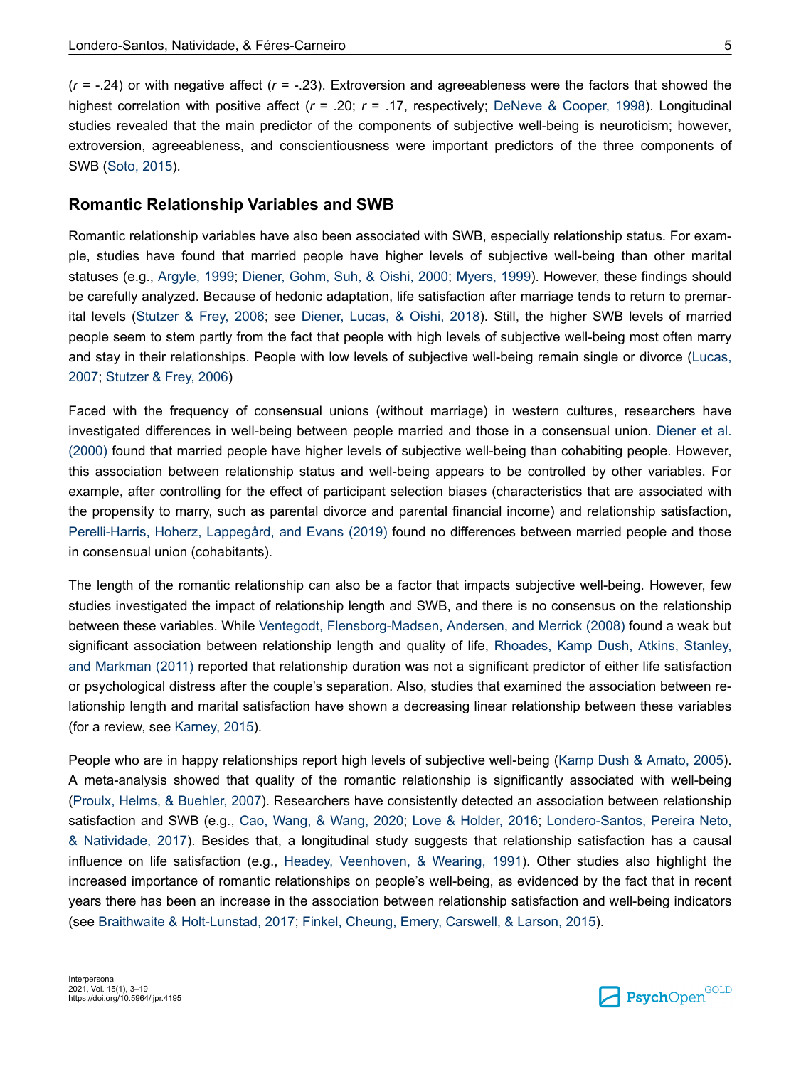(*r* = -.24) or with negative affect (*r* = -.23). Extroversion and agreeableness were the factors that showed the highest correlation with positive affect ( $r = .20$ ;  $r = .17$ , respectively; [DeNeve & Cooper, 1998\)](#page-12-0). Longitudinal studies revealed that the main predictor of the components of subjective well-being is neuroticism; however, extroversion, agreeableness, and conscientiousness were important predictors of the three components of SWB ([Soto, 2015](#page-15-0)).

### **Romantic Relationship Variables and SWB**

Romantic relationship variables have also been associated with SWB, especially relationship status. For example, studies have found that married people have higher levels of subjective well-being than other marital statuses (e.g., [Argyle, 1999](#page-12-0); [Diener, Gohm, Suh, & Oishi, 2000](#page-12-0); [Myers, 1999\)](#page-14-0). However, these findings should be carefully analyzed. Because of hedonic adaptation, life satisfaction after marriage tends to return to premarital levels [\(Stutzer & Frey, 2006;](#page-15-0) see [Diener, Lucas, & Oishi, 2018\)](#page-12-0). Still, the higher SWB levels of married people seem to stem partly from the fact that people with high levels of subjective well-being most often marry and stay in their relationships. People with low levels of subjective well-being remain single or divorce ([Lucas,](#page-13-0) [2007](#page-13-0); [Stutzer & Frey, 2006\)](#page-15-0)

Faced with the frequency of consensual unions (without marriage) in western cultures, researchers have investigated differences in well-being between people married and those in a consensual union. [Diener et al.](#page-12-0) [\(2000\)](#page-12-0) found that married people have higher levels of subjective well-being than cohabiting people. However, this association between relationship status and well-being appears to be controlled by other variables. For example, after controlling for the effect of participant selection biases (characteristics that are associated with the propensity to marry, such as parental divorce and parental financial income) and relationship satisfaction, [Perelli-Harris, Hoherz, Lappegård, and Evans \(2019\)](#page-15-0) found no differences between married people and those in consensual union (cohabitants).

The length of the romantic relationship can also be a factor that impacts subjective well-being. However, few studies investigated the impact of relationship length and SWB, and there is no consensus on the relationship between these variables. While [Ventegodt, Flensborg-Madsen, Andersen, and Merrick \(2008\)](#page-15-0) found a weak but significant association between relationship length and quality of life, [Rhoades, Kamp Dush, Atkins, Stanley,](#page-15-0) [and Markman \(2011\)](#page-15-0) reported that relationship duration was not a significant predictor of either life satisfaction or psychological distress after the couple's separation. Also, studies that examined the association between relationship length and marital satisfaction have shown a decreasing linear relationship between these variables (for a review, see [Karney, 2015\)](#page-13-0).

People who are in happy relationships report high levels of subjective well-being ([Kamp Dush & Amato, 2005](#page-13-0)). A meta-analysis showed that quality of the romantic relationship is significantly associated with well-being [\(Proulx, Helms, & Buehler, 2007](#page-15-0)). Researchers have consistently detected an association between relationship satisfaction and SWB (e.g., [Cao, Wang, & Wang, 2020](#page-12-0); [Love & Holder, 2016](#page-13-0); [Londero-Santos, Pereira Neto,](#page-13-0) [& Natividade, 2017](#page-13-0)). Besides that, a longitudinal study suggests that relationship satisfaction has a causal influence on life satisfaction (e.g., [Headey, Veenhoven, & Wearing, 1991](#page-13-0)). Other studies also highlight the increased importance of romantic relationships on people's well-being, as evidenced by the fact that in recent years there has been an increase in the association between relationship satisfaction and well-being indicators (see [Braithwaite & Holt-Lunstad, 2017](#page-12-0); [Finkel, Cheung, Emery, Carswell, & Larson, 2015](#page-12-0)).

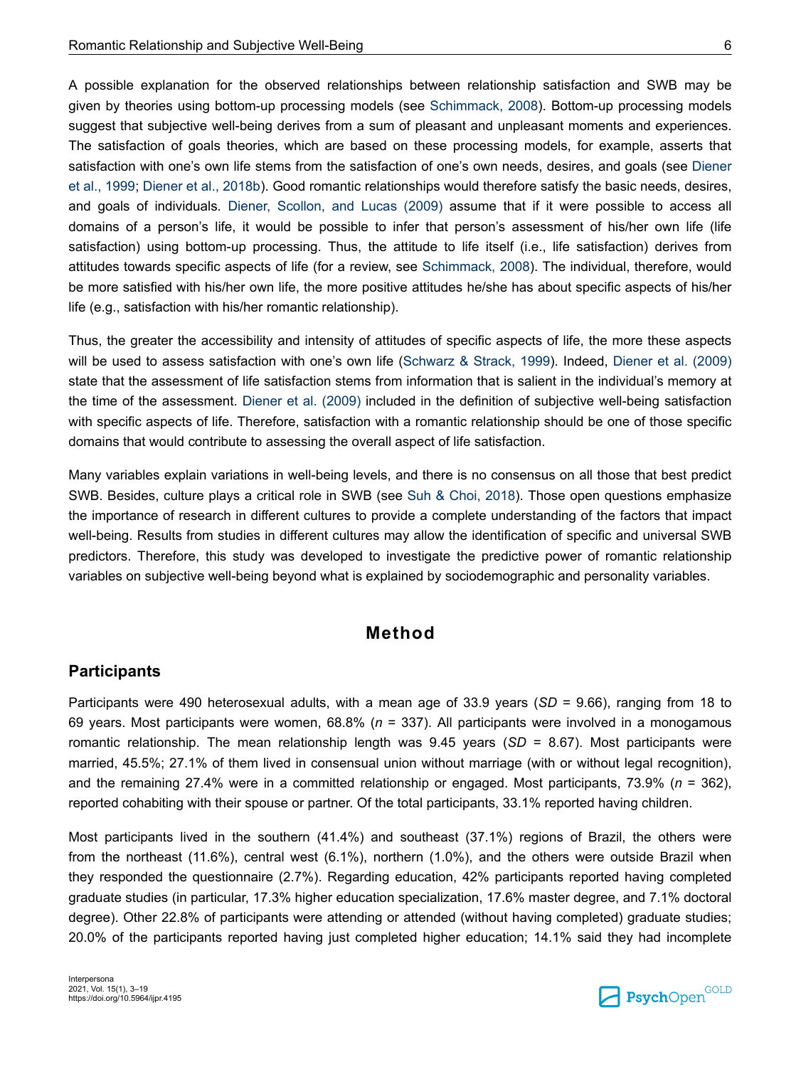A possible explanation for the observed relationships between relationship satisfaction and SWB may be given by theories using bottom-up processing models (see [Schimmack, 2008](#page-15-0)). Bottom-up processing models suggest that subjective well-being derives from a sum of pleasant and unpleasant moments and experiences. The satisfaction of goals theories, which are based on these processing models, for example, asserts that satisfaction with one's own life stems from the satisfaction of one's own needs, desires, and goals (see [Diener](#page-12-0) [et al., 1999; Diener et al., 2018b\)](#page-12-0). Good romantic relationships would therefore satisfy the basic needs, desires, and goals of individuals. [Diener, Scollon, and Lucas \(2009\)](#page-12-0) assume that if it were possible to access all domains of a person's life, it would be possible to infer that person's assessment of his/her own life (life satisfaction) using bottom-up processing. Thus, the attitude to life itself (i.e., life satisfaction) derives from attitudes towards specific aspects of life (for a review, see [Schimmack, 2008](#page-15-0)). The individual, therefore, would be more satisfied with his/her own life, the more positive attitudes he/she has about specific aspects of his/her life (e.g., satisfaction with his/her romantic relationship).

Thus, the greater the accessibility and intensity of attitudes of specific aspects of life, the more these aspects will be used to assess satisfaction with one's own life ([Schwarz & Strack, 1999](#page-15-0)). Indeed, [Diener et al. \(2009\)](#page-12-0) state that the assessment of life satisfaction stems from information that is salient in the individual's memory at the time of the assessment. [Diener et al. \(2009\)](#page-12-0) included in the definition of subjective well-being satisfaction with specific aspects of life. Therefore, satisfaction with a romantic relationship should be one of those specific domains that would contribute to assessing the overall aspect of life satisfaction.

Many variables explain variations in well-being levels, and there is no consensus on all those that best predict SWB. Besides, culture plays a critical role in SWB (see [Suh & Choi, 2018](#page-15-0)). Those open questions emphasize the importance of research in different cultures to provide a complete understanding of the factors that impact well-being. Results from studies in different cultures may allow the identification of specific and universal SWB predictors. Therefore, this study was developed to investigate the predictive power of romantic relationship variables on subjective well-being beyond what is explained by sociodemographic and personality variables.

## **Method**

#### **Participants**

Participants were 490 heterosexual adults, with a mean age of 33.9 years (*SD* = 9.66), ranging from 18 to 69 years. Most participants were women, 68.8% (*n* = 337). All participants were involved in a monogamous romantic relationship. The mean relationship length was 9.45 years (*SD* = 8.67). Most participants were married, 45.5%; 27.1% of them lived in consensual union without marriage (with or without legal recognition), and the remaining 27.4% were in a committed relationship or engaged. Most participants, 73.9% (*n* = 362), reported cohabiting with their spouse or partner. Of the total participants, 33.1% reported having children.

Most participants lived in the southern (41.4%) and southeast (37.1%) regions of Brazil, the others were from the northeast (11.6%), central west (6.1%), northern (1.0%), and the others were outside Brazil when they responded the questionnaire (2.7%). Regarding education, 42% participants reported having completed graduate studies (in particular, 17.3% higher education specialization, 17.6% master degree, and 7.1% doctoral degree). Other 22.8% of participants were attending or attended (without having completed) graduate studies; 20.0% of the participants reported having just completed higher education; 14.1% said they had incomplete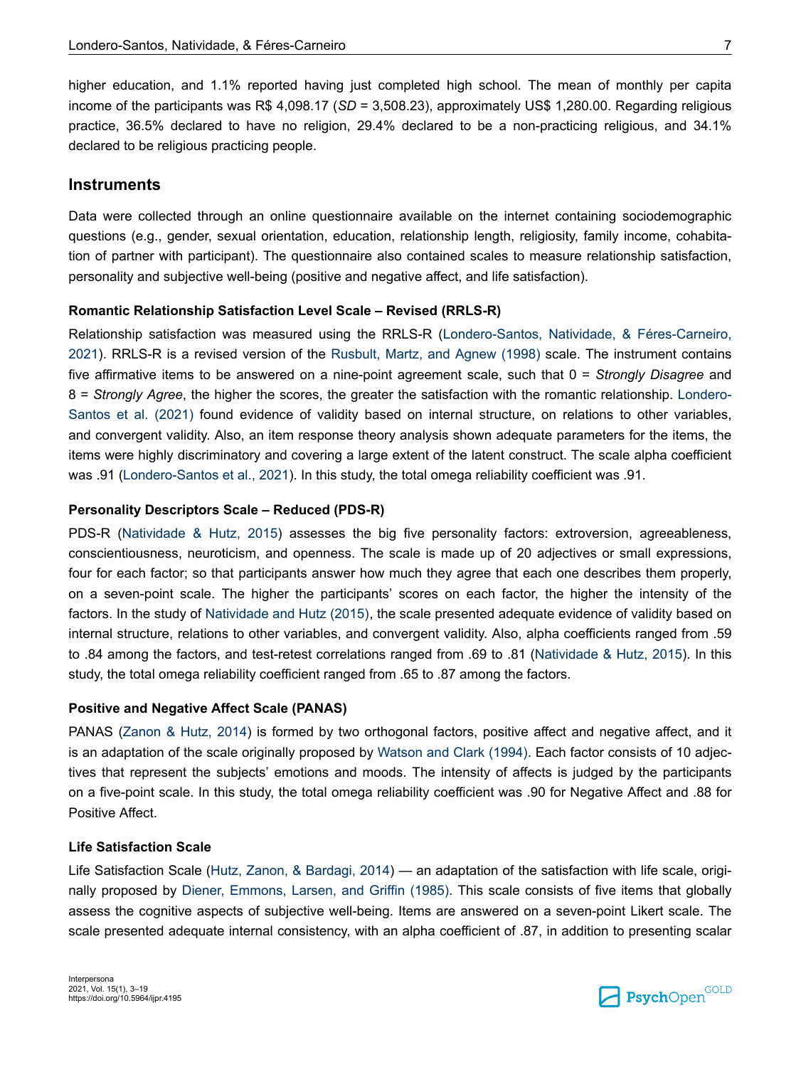higher education, and 1.1% reported having just completed high school. The mean of monthly per capita income of the participants was R\$ 4,098.17 (*SD* = 3,508.23), approximately US\$ 1,280.00. Regarding religious practice, 36.5% declared to have no religion, 29.4% declared to be a non-practicing religious, and 34.1% declared to be religious practicing people.

#### **Instruments**

Data were collected through an online questionnaire available on the internet containing sociodemographic questions (e.g., gender, sexual orientation, education, relationship length, religiosity, family income, cohabitation of partner with participant). The questionnaire also contained scales to measure relationship satisfaction, personality and subjective well-being (positive and negative affect, and life satisfaction).

#### **Romantic Relationship Satisfaction Level Scale – Revised (RRLS-R)**

Relationship satisfaction was measured using the RRLS-R ([Londero-Santos, Natividade, & Féres-Carneiro,](#page-13-0) [2021](#page-13-0)). RRLS-R is a revised version of the [Rusbult, Martz, and Agnew \(1998\)](#page-15-0) scale. The instrument contains five affirmative items to be answered on a nine-point agreement scale, such that 0 = *Strongly Disagree* and 8 = *Strongly Agree*, the higher the scores, the greater the satisfaction with the romantic relationship. [Londero-](#page-13-0)[Santos et al. \(2021\)](#page-13-0) found evidence of validity based on internal structure, on relations to other variables, and convergent validity. Also, an item response theory analysis shown adequate parameters for the items, the items were highly discriminatory and covering a large extent of the latent construct. The scale alpha coefficient was .91 ([Londero-Santos et al., 2021](#page-13-0)). In this study, the total omega reliability coefficient was .91.

#### **Personality Descriptors Scale – Reduced (PDS-R)**

PDS-R ([Natividade & Hutz, 2015\)](#page-14-0) assesses the big five personality factors: extroversion, agreeableness, conscientiousness, neuroticism, and openness. The scale is made up of 20 adjectives or small expressions, four for each factor; so that participants answer how much they agree that each one describes them properly, on a seven-point scale. The higher the participants' scores on each factor, the higher the intensity of the factors. In the study of [Natividade and Hutz \(2015\),](#page-14-0) the scale presented adequate evidence of validity based on internal structure, relations to other variables, and convergent validity. Also, alpha coefficients ranged from .59 to .84 among the factors, and test-retest correlations ranged from .69 to .81 ([Natividade & Hutz, 2015](#page-14-0)). In this study, the total omega reliability coefficient ranged from .65 to .87 among the factors.

#### **Positive and Negative Affect Scale (PANAS)**

PANAS [\(Zanon & Hutz, 2014\)](#page-16-0) is formed by two orthogonal factors, positive affect and negative affect, and it is an adaptation of the scale originally proposed by [Watson and Clark \(1994\).](#page-15-0) Each factor consists of 10 adjectives that represent the subjects' emotions and moods. The intensity of affects is judged by the participants on a five-point scale. In this study, the total omega reliability coefficient was .90 for Negative Affect and .88 for Positive Affect.

#### **Life Satisfaction Scale**

Life Satisfaction Scale ([Hutz, Zanon, & Bardagi, 2014](#page-13-0)) — an adaptation of the satisfaction with life scale, originally proposed by [Diener, Emmons, Larsen, and Griffin \(1985\).](#page-12-0) This scale consists of five items that globally assess the cognitive aspects of subjective well-being. Items are answered on a seven-point Likert scale. The scale presented adequate internal consistency, with an alpha coefficient of .87, in addition to presenting scalar

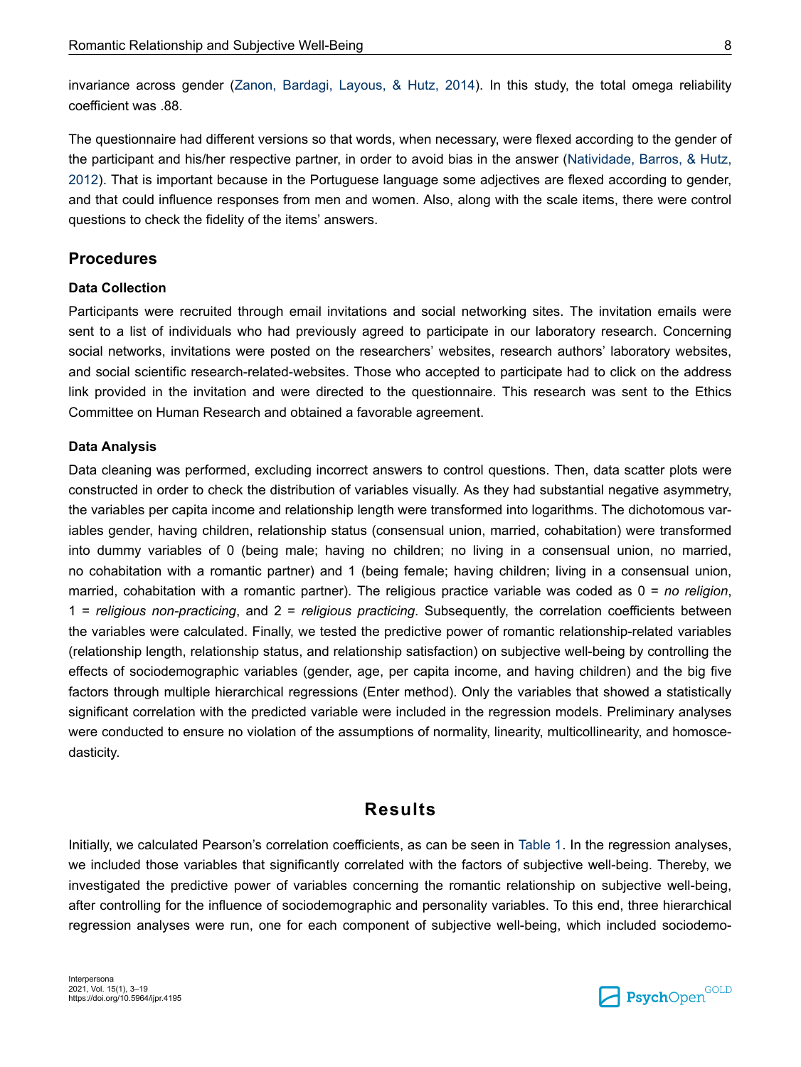invariance across gender [\(Zanon, Bardagi, Layous, & Hutz, 2014](#page-16-0)). In this study, the total omega reliability coefficient was .88.

The questionnaire had different versions so that words, when necessary, were flexed according to the gender of the participant and his/her respective partner, in order to avoid bias in the answer [\(Natividade, Barros, & Hutz,](#page-14-0) [2012](#page-14-0)). That is important because in the Portuguese language some adjectives are flexed according to gender, and that could influence responses from men and women. Also, along with the scale items, there were control questions to check the fidelity of the items' answers.

## **Procedures**

#### **Data Collection**

Participants were recruited through email invitations and social networking sites. The invitation emails were sent to a list of individuals who had previously agreed to participate in our laboratory research. Concerning social networks, invitations were posted on the researchers' websites, research authors' laboratory websites, and social scientific research-related-websites. Those who accepted to participate had to click on the address link provided in the invitation and were directed to the questionnaire. This research was sent to the Ethics Committee on Human Research and obtained a favorable agreement.

#### **Data Analysis**

Data cleaning was performed, excluding incorrect answers to control questions. Then, data scatter plots were constructed in order to check the distribution of variables visually. As they had substantial negative asymmetry, the variables per capita income and relationship length were transformed into logarithms. The dichotomous variables gender, having children, relationship status (consensual union, married, cohabitation) were transformed into dummy variables of 0 (being male; having no children; no living in a consensual union, no married, no cohabitation with a romantic partner) and 1 (being female; having children; living in a consensual union, married, cohabitation with a romantic partner). The religious practice variable was coded as 0 = *no religion*, 1 = *religious non-practicing*, and 2 = *religious practicing*. Subsequently, the correlation coefficients between the variables were calculated. Finally, we tested the predictive power of romantic relationship-related variables (relationship length, relationship status, and relationship satisfaction) on subjective well-being by controlling the effects of sociodemographic variables (gender, age, per capita income, and having children) and the big five factors through multiple hierarchical regressions (Enter method). Only the variables that showed a statistically significant correlation with the predicted variable were included in the regression models. Preliminary analyses were conducted to ensure no violation of the assumptions of normality, linearity, multicollinearity, and homoscedasticity.

## **Results**

Initially, we calculated Pearson's correlation coefficients, as can be seen in [Table 1](#page-6-0). In the regression analyses, we included those variables that significantly correlated with the factors of subjective well-being. Thereby, we investigated the predictive power of variables concerning the romantic relationship on subjective well-being, after controlling for the influence of sociodemographic and personality variables. To this end, three hierarchical regression analyses were run, one for each component of subjective well-being, which included sociodemo-

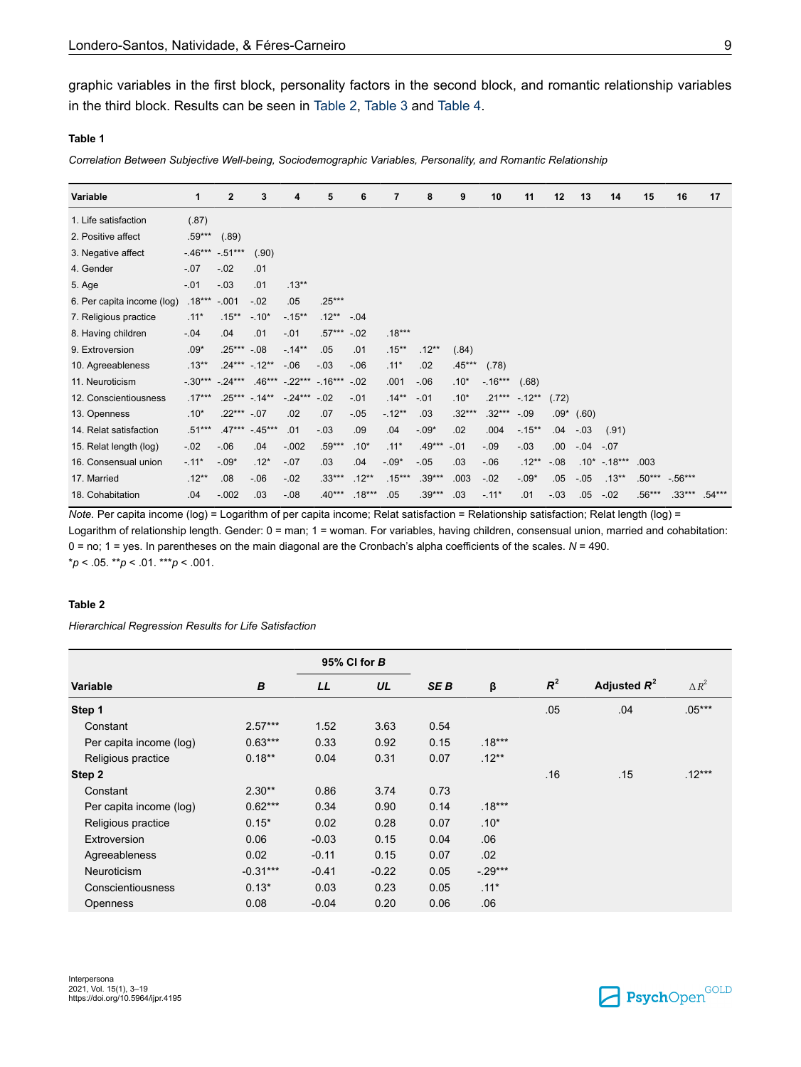<span id="page-6-0"></span>graphic variables in the first block, personality factors in the second block, and romantic relationship variables in the third block. Results can be seen in Table 2, [Table 3](#page-7-0) and [Table 4.](#page-8-0)

#### **Table 1**

*Correlation Between Subjective Well-being, Sociodemographic Variables, Personality, and Romantic Relationship*

| Variable                   | 1        | $\mathbf{2}$     | 3                | 4                            | 5             | 6        | 7        | 8        | 9        | 10       | 11              | 12     | 13     | 14        | 15       | 16         | 17       |
|----------------------------|----------|------------------|------------------|------------------------------|---------------|----------|----------|----------|----------|----------|-----------------|--------|--------|-----------|----------|------------|----------|
| 1. Life satisfaction       | (.87)    |                  |                  |                              |               |          |          |          |          |          |                 |        |        |           |          |            |          |
| 2. Positive affect         | $.59***$ | (.89)            |                  |                              |               |          |          |          |          |          |                 |        |        |           |          |            |          |
| 3. Negative affect         | $-46***$ | $-.51***$        | (.90)            |                              |               |          |          |          |          |          |                 |        |        |           |          |            |          |
| 4. Gender                  | $-.07$   | $-.02$           | .01              |                              |               |          |          |          |          |          |                 |        |        |           |          |            |          |
| 5. Age                     | $-.01$   | $-.03$           | .01              | $.13***$                     |               |          |          |          |          |          |                 |        |        |           |          |            |          |
| 6. Per capita income (log) | $.18***$ | $-.001$          | $-.02$           | .05                          | $.25***$      |          |          |          |          |          |                 |        |        |           |          |            |          |
| 7. Religious practice      | $.11*$   | $.15***$         | $-.10*$          | $-15**$                      | $.12***$      | $-.04$   |          |          |          |          |                 |        |        |           |          |            |          |
| 8. Having children         | $-.04$   | .04              | .01              | $-.01$                       | $.57***$ -.02 |          | $.18***$ |          |          |          |                 |        |        |           |          |            |          |
| 9. Extroversion            | $.09*$   | $.25***-.08$     |                  | $-.14**$                     | .05           | .01      | $.15***$ | $.12**$  | (.84)    |          |                 |        |        |           |          |            |          |
| 10. Agreeableness          | $.13***$ |                  | $.24*** - .12**$ | $-.06$                       | $-.03$        | $-0.06$  | $.11*$   | .02      | $.45***$ | (.78)    |                 |        |        |           |          |            |          |
| 11. Neuroticism            |          | $-.30***-.24***$ |                  | $.46***$ $-.22***$ $-.16***$ |               | $-.02$   | .001     | $-06$    | $.10*$   | $-16***$ | (.68)           |        |        |           |          |            |          |
| 12. Conscientiousness      | $.17***$ |                  | $.25***$ -.14**  | $-24***$                     | $-.02$        | $-.01$   | $.14***$ | $-.01$   | $.10*$   |          | $.21***$ -.12** | (.72)  |        |           |          |            |          |
| 13. Openness               | $.10*$   | $.22***-.07$     |                  | .02                          | .07           | $-.05$   | $-12**$  | .03      | $.32***$ | $.32***$ | $-.09$          | $.09*$ | (.60)  |           |          |            |          |
| 14. Relat satisfaction     | $.51***$ | $.47***$         | $-45***$         | .01                          | $-.03$        | .09      | .04      | $-0.09*$ | .02      | .004     | $-15**$         | .04    | $-03$  | (.91)     |          |            |          |
| 15. Relat length (log)     | $-.02$   | $-06$            | .04              | $-.002$                      | $.59***$      | $.10*$   | $.11*$   | $.49***$ | $-.01$   | $-.09$   | $-.03$          | .00.   | $-.04$ | $-.07$    |          |            |          |
| 16. Consensual union       | $-.11*$  | $-.09*$          | $.12*$           | $-.07$                       | .03           | .04      | $-.09*$  | $-.05$   | .03      | $-0.06$  | $.12**$         | $-.08$ | $.10*$ | $-.18***$ | .003     |            |          |
| 17. Married                | $.12***$ | .08              | $-06$            | $-.02$                       | $.33***$      | $.12***$ | $.15***$ | $.39***$ | .003     | $-0.02$  | $-.09*$         | .05    | $-.05$ | $.13***$  | $.50***$ | $-0.56***$ |          |
| 18. Cohabitation           | .04      | $-.002$          | .03              | $-.08$                       | $.40***$      | $.18***$ | .05      | $.39***$ | .03      | $-.11*$  | .01             | $-.03$ | .05    | $-.02$    | $.56***$ | $.33***$   | $.54***$ |

*Note.* Per capita income (log) = Logarithm of per capita income; Relat satisfaction = Relationship satisfaction; Relat length (log) = Logarithm of relationship length. Gender: 0 = man; 1 = woman. For variables, having children, consensual union, married and cohabitation: 0 = no; 1 = yes. In parentheses on the main diagonal are the Cronbach's alpha coefficients of the scales. *N* = 490. \**p* < .05. \*\**p* < .01. \*\*\**p* < .001.

#### **Table 2**

*Hierarchical Regression Results for Life Satisfaction*

|                         |            | 95% CI for B |         |                 |          |       |                |                 |
|-------------------------|------------|--------------|---------|-----------------|----------|-------|----------------|-----------------|
| <b>Variable</b>         | В          | LL           | UL      | SE <sub>B</sub> | β        | $R^2$ | Adjusted $R^2$ | $\triangle R^2$ |
| Step 1                  |            |              |         |                 |          | .05   | .04            | $.05***$        |
| Constant                | $2.57***$  | 1.52         | 3.63    | 0.54            |          |       |                |                 |
| Per capita income (log) | $0.63***$  | 0.33         | 0.92    | 0.15            | $.18***$ |       |                |                 |
| Religious practice      | $0.18**$   | 0.04         | 0.31    | 0.07            | $.12***$ |       |                |                 |
| Step 2                  |            |              |         |                 |          | .16   | .15            | $.12***$        |
| Constant                | $2.30**$   | 0.86         | 3.74    | 0.73            |          |       |                |                 |
| Per capita income (log) | $0.62***$  | 0.34         | 0.90    | 0.14            | $.18***$ |       |                |                 |
| Religious practice      | $0.15*$    | 0.02         | 0.28    | 0.07            | $.10*$   |       |                |                 |
| Extroversion            | 0.06       | $-0.03$      | 0.15    | 0.04            | .06      |       |                |                 |
| Agreeableness           | 0.02       | $-0.11$      | 0.15    | 0.07            | .02      |       |                |                 |
| <b>Neuroticism</b>      | $-0.31***$ | $-0.41$      | $-0.22$ | 0.05            | $-29***$ |       |                |                 |
| Conscientiousness       | $0.13*$    | 0.03         | 0.23    | 0.05            | $.11*$   |       |                |                 |
| <b>Openness</b>         | 0.08       | $-0.04$      | 0.20    | 0.06            | .06      |       |                |                 |

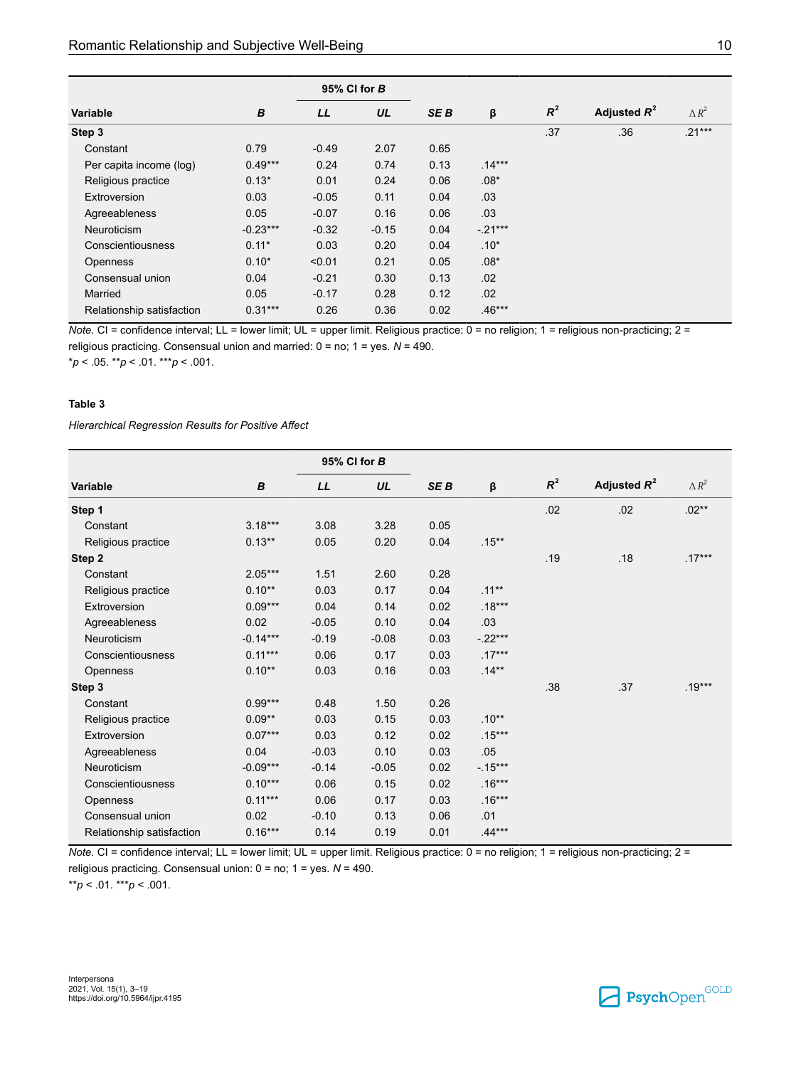<span id="page-7-0"></span>

|                           |            | 95% CI for B |         |                 |           |       |                |                 |
|---------------------------|------------|--------------|---------|-----------------|-----------|-------|----------------|-----------------|
| <b>Variable</b>           | B          | LL           | UL      | SE <sub>B</sub> | β         | $R^2$ | Adjusted $R^2$ | $\triangle R^2$ |
| Step 3                    |            |              |         |                 |           | .37   | .36            | $.21***$        |
| Constant                  | 0.79       | $-0.49$      | 2.07    | 0.65            |           |       |                |                 |
| Per capita income (log)   | $0.49***$  | 0.24         | 0.74    | 0.13            | $.14***$  |       |                |                 |
| Religious practice        | $0.13*$    | 0.01         | 0.24    | 0.06            | $.08*$    |       |                |                 |
| Extroversion              | 0.03       | $-0.05$      | 0.11    | 0.04            | .03       |       |                |                 |
| Agreeableness             | 0.05       | $-0.07$      | 0.16    | 0.06            | .03       |       |                |                 |
| <b>Neuroticism</b>        | $-0.23***$ | $-0.32$      | $-0.15$ | 0.04            | $-.21***$ |       |                |                 |
| Conscientiousness         | $0.11*$    | 0.03         | 0.20    | 0.04            | $.10*$    |       |                |                 |
| <b>Openness</b>           | $0.10*$    | < 0.01       | 0.21    | 0.05            | $.08*$    |       |                |                 |
| Consensual union          | 0.04       | $-0.21$      | 0.30    | 0.13            | .02       |       |                |                 |
| Married                   | 0.05       | $-0.17$      | 0.28    | 0.12            | .02       |       |                |                 |
| Relationship satisfaction | $0.31***$  | 0.26         | 0.36    | 0.02            | $.46***$  |       |                |                 |

*Note.* CI = confidence interval; LL = lower limit; UL = upper limit. Religious practice: 0 = no religion; 1 = religious non-practicing; 2 = religious practicing. Consensual union and married: 0 = no; 1 = yes. *N* = 490.

\**p* < .05. \*\**p* < .01. \*\*\**p* < .001.

#### **Table 3**

*Hierarchical Regression Results for Positive Affect*

|                           |            |         | 95% CI for B |                 |          |       |                |                 |
|---------------------------|------------|---------|--------------|-----------------|----------|-------|----------------|-----------------|
| Variable                  | B          | LL      | UL           | SE <sub>B</sub> | β        | $R^2$ | Adjusted $R^2$ | $\triangle R^2$ |
| Step 1                    |            |         |              |                 |          | .02   | .02            | $.02**$         |
| Constant                  | $3.18***$  | 3.08    | 3.28         | 0.05            |          |       |                |                 |
| Religious practice        | $0.13**$   | 0.05    | 0.20         | 0.04            | $.15***$ |       |                |                 |
| Step 2                    |            |         |              |                 |          | .19   | .18            | $.17***$        |
| Constant                  | $2.05***$  | 1.51    | 2.60         | 0.28            |          |       |                |                 |
| Religious practice        | $0.10**$   | 0.03    | 0.17         | 0.04            | $.11***$ |       |                |                 |
| Extroversion              | $0.09***$  | 0.04    | 0.14         | 0.02            | $.18***$ |       |                |                 |
| Agreeableness             | 0.02       | $-0.05$ | 0.10         | 0.04            | .03      |       |                |                 |
| Neuroticism               | $-0.14***$ | $-0.19$ | $-0.08$      | 0.03            | $-22***$ |       |                |                 |
| Conscientiousness         | $0.11***$  | 0.06    | 0.17         | 0.03            | $.17***$ |       |                |                 |
| <b>Openness</b>           | $0.10**$   | 0.03    | 0.16         | 0.03            | $.14***$ |       |                |                 |
| Step 3                    |            |         |              |                 |          | .38   | .37            | $.19***$        |
| Constant                  | $0.99***$  | 0.48    | 1.50         | 0.26            |          |       |                |                 |
| Religious practice        | $0.09**$   | 0.03    | 0.15         | 0.03            | $.10**$  |       |                |                 |
| Extroversion              | $0.07***$  | 0.03    | 0.12         | 0.02            | $.15***$ |       |                |                 |
| Agreeableness             | 0.04       | $-0.03$ | 0.10         | 0.03            | .05      |       |                |                 |
| Neuroticism               | $-0.09***$ | $-0.14$ | $-0.05$      | 0.02            | $-15***$ |       |                |                 |
| Conscientiousness         | $0.10***$  | 0.06    | 0.15         | 0.02            | $.16***$ |       |                |                 |
| <b>Openness</b>           | $0.11***$  | 0.06    | 0.17         | 0.03            | $.16***$ |       |                |                 |
| Consensual union          | 0.02       | $-0.10$ | 0.13         | 0.06            | .01      |       |                |                 |
| Relationship satisfaction | $0.16***$  | 0.14    | 0.19         | 0.01            | $.44***$ |       |                |                 |

*Note.* CI = confidence interval; LL = lower limit; UL = upper limit. Religious practice: 0 = no religion; 1 = religious non-practicing; 2 =

religious practicing. Consensual union: 0 = no; 1 = yes. *N* = 490.

\*\**p* < .01. \*\*\**p* < .001.

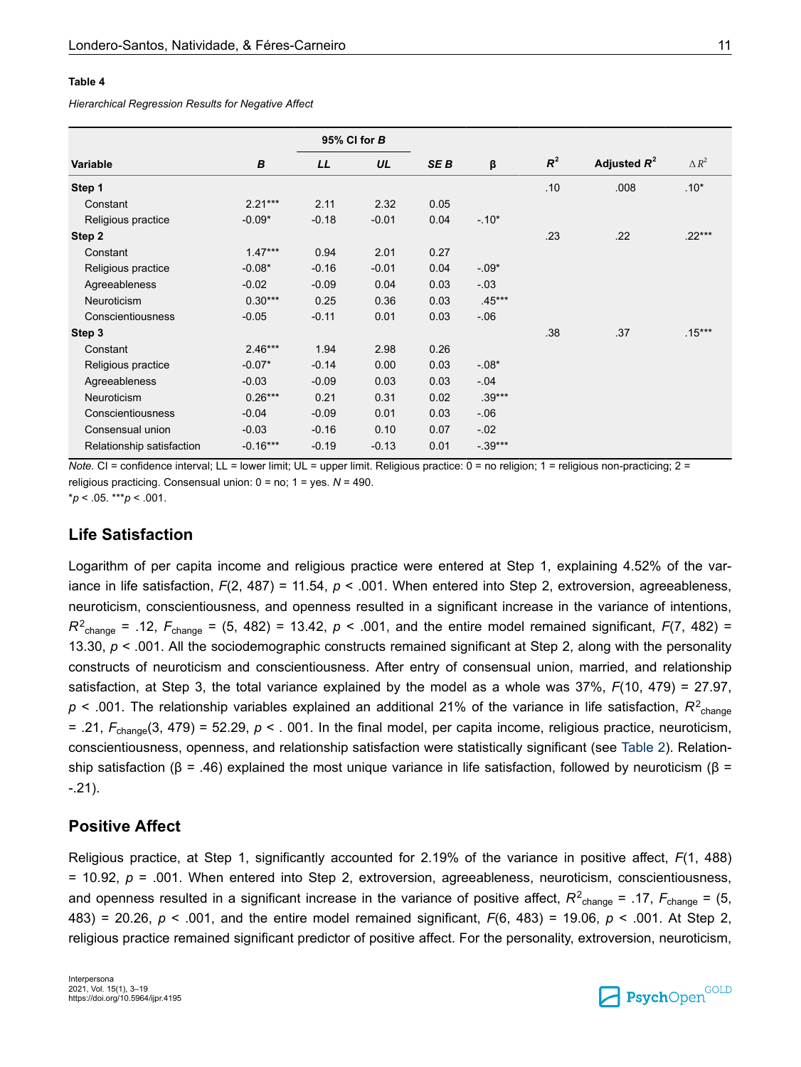#### <span id="page-8-0"></span>**Table 4**

*Hierarchical Regression Results for Negative Affect*

|                           |            |         | 95% CI for B |                 |          |       |                |                 |
|---------------------------|------------|---------|--------------|-----------------|----------|-------|----------------|-----------------|
| Variable                  | B          | LL      | UL           | SE <sub>B</sub> | β        | $R^2$ | Adjusted $R^2$ | $\triangle R^2$ |
| Step 1                    |            |         |              |                 |          | .10   | .008           | $.10*$          |
| Constant                  | $2.21***$  | 2.11    | 2.32         | 0.05            |          |       |                |                 |
| Religious practice        | $-0.09*$   | $-0.18$ | $-0.01$      | 0.04            | $-10*$   |       |                |                 |
| Step 2                    |            |         |              |                 |          | .23   | .22            | $.22***$        |
| Constant                  | $1.47***$  | 0.94    | 2.01         | 0.27            |          |       |                |                 |
| Religious practice        | $-0.08*$   | $-0.16$ | $-0.01$      | 0.04            | $-0.09*$ |       |                |                 |
| Agreeableness             | $-0.02$    | $-0.09$ | 0.04         | 0.03            | $-03$    |       |                |                 |
| Neuroticism               | $0.30***$  | 0.25    | 0.36         | 0.03            | $.45***$ |       |                |                 |
| Conscientiousness         | $-0.05$    | $-0.11$ | 0.01         | 0.03            | $-0.06$  |       |                |                 |
| Step 3                    |            |         |              |                 |          | .38   | .37            | $.15***$        |
| Constant                  | $2.46***$  | 1.94    | 2.98         | 0.26            |          |       |                |                 |
| Religious practice        | $-0.07*$   | $-0.14$ | 0.00         | 0.03            | $-08*$   |       |                |                 |
| Agreeableness             | $-0.03$    | $-0.09$ | 0.03         | 0.03            | $-.04$   |       |                |                 |
| Neuroticism               | $0.26***$  | 0.21    | 0.31         | 0.02            | $.39***$ |       |                |                 |
| Conscientiousness         | $-0.04$    | $-0.09$ | 0.01         | 0.03            | $-06$    |       |                |                 |
| Consensual union          | $-0.03$    | $-0.16$ | 0.10         | 0.07            | $-.02$   |       |                |                 |
| Relationship satisfaction | $-0.16***$ | $-0.19$ | $-0.13$      | 0.01            | $-39***$ |       |                |                 |

*Note.* CI = confidence interval; LL = lower limit; UL = upper limit. Religious practice: 0 = no religion; 1 = religious non-practicing; 2 = religious practicing. Consensual union: 0 = no; 1 = yes. *N* = 490.

 $*p < 05$ . \*\*\**p* < .001.

#### **Life Satisfaction**

Logarithm of per capita income and religious practice were entered at Step 1, explaining 4.52% of the variance in life satisfaction, *F*(2, 487) = 11.54, *p* < .001. When entered into Step 2, extroversion, agreeableness, neuroticism, conscientiousness, and openness resulted in a significant increase in the variance of intentions,  $R^2$ <sub>change</sub> = .12,  $F_{change}$  = (5, 482) = 13.42,  $p < .001$ , and the entire model remained significant,  $F(7, 482)$  = 13.30, *p* < .001. All the sociodemographic constructs remained significant at Step 2, along with the personality constructs of neuroticism and conscientiousness. After entry of consensual union, married, and relationship satisfaction, at Step 3, the total variance explained by the model as a whole was 37%, *F*(10, 479) = 27.97,  $p$  < .001. The relationship variables explained an additional 21% of the variance in life satisfaction,  $R^2_{\text{change}}$  $=$  .21,  $F_{\text{change}}(3, 479) = 52.29$ ,  $p \lt 0.001$ . In the final model, per capita income, religious practice, neuroticism, conscientiousness, openness, and relationship satisfaction were statistically significant (see [Table 2\)](#page-6-0). Relationship satisfaction (β = .46) explained the most unique variance in life satisfaction, followed by neuroticism (β = -.21).

#### **Positive Affect**

Religious practice, at Step 1, significantly accounted for 2.19% of the variance in positive affect, *F*(1, 488) = 10.92, *p* = .001. When entered into Step 2, extroversion, agreeableness, neuroticism, conscientiousness, and openness resulted in a significant increase in the variance of positive affect,  $R^2$ <sub>change</sub> = .17,  $F_{change}$  = .15, 483) = 20.26, *p* < .001, and the entire model remained significant, *F*(6, 483) = 19.06, *p* < .001. At Step 2, religious practice remained significant predictor of positive affect. For the personality, extroversion, neuroticism,

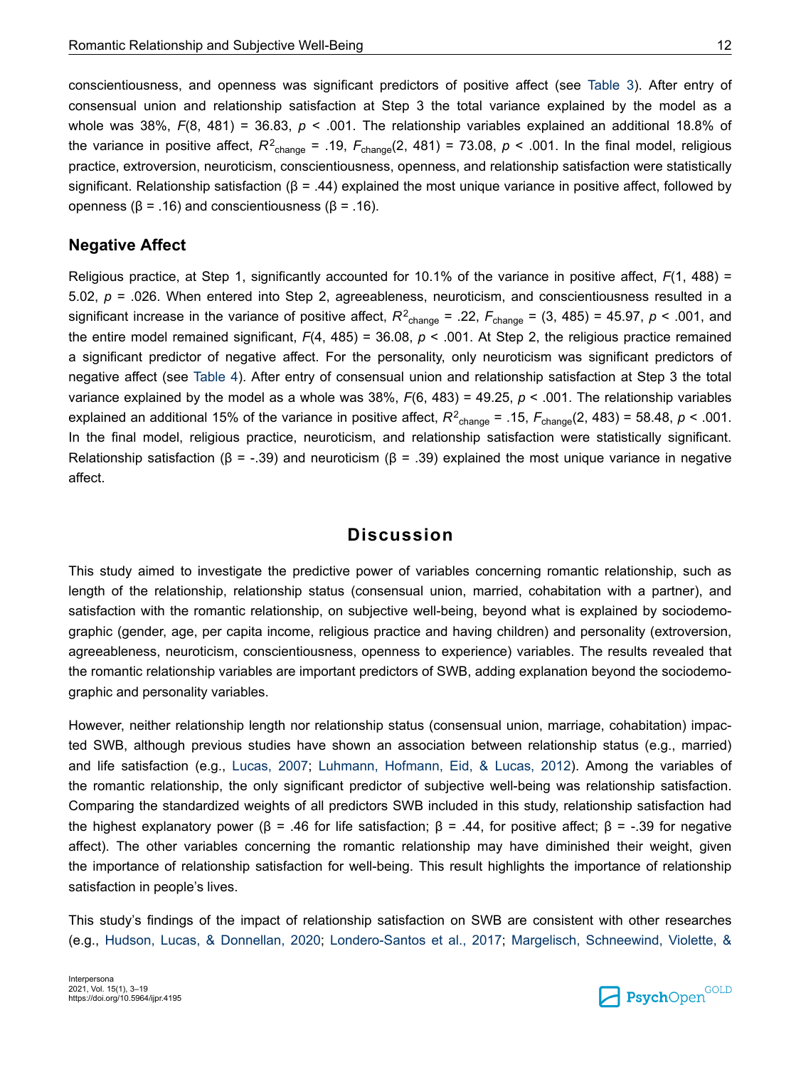conscientiousness, and openness was significant predictors of positive affect (see [Table 3\)](#page-7-0). After entry of consensual union and relationship satisfaction at Step 3 the total variance explained by the model as a whole was 38%,  $F(8, 481) = 36.83$ ,  $p < .001$ . The relationship variables explained an additional 18.8% of the variance in positive affect,  $R^2$ <sub>change</sub> = .19,  $F_{change}(2, 481)$  = 73.08,  $p$  < .001. In the final model, religious practice, extroversion, neuroticism, conscientiousness, openness, and relationship satisfaction were statistically significant. Relationship satisfaction ( $\beta$  = .44) explained the most unique variance in positive affect, followed by openness (β = .16) and conscientiousness (β = .16).

#### **Negative Affect**

Religious practice, at Step 1, significantly accounted for 10.1% of the variance in positive affect, *F*(1, 488) = 5.02, *p* = .026. When entered into Step 2, agreeableness, neuroticism, and conscientiousness resulted in a significant increase in the variance of positive affect,  $R^2$ <sub>change</sub> = .22,  $F$ <sub>change</sub> = (3, 485) = 45.97,  $p$  < .001, and the entire model remained significant, *F*(4, 485) = 36.08, *p* < .001. At Step 2, the religious practice remained a significant predictor of negative affect. For the personality, only neuroticism was significant predictors of negative affect (see [Table 4](#page-8-0)). After entry of consensual union and relationship satisfaction at Step 3 the total variance explained by the model as a whole was 38%, *F*(6, 483) = 49.25, *p* < .001. The relationship variables explained an additional 15% of the variance in positive affect,  $R^2$ <sub>change</sub> = .15,  $F_{change}(2, 483)$  = 58.48,  $p < .001$ . In the final model, religious practice, neuroticism, and relationship satisfaction were statistically significant. Relationship satisfaction ( $\beta$  = -.39) and neuroticism ( $\beta$  = .39) explained the most unique variance in negative affect.

### **Discussion**

This study aimed to investigate the predictive power of variables concerning romantic relationship, such as length of the relationship, relationship status (consensual union, married, cohabitation with a partner), and satisfaction with the romantic relationship, on subjective well-being, beyond what is explained by sociodemographic (gender, age, per capita income, religious practice and having children) and personality (extroversion, agreeableness, neuroticism, conscientiousness, openness to experience) variables. The results revealed that the romantic relationship variables are important predictors of SWB, adding explanation beyond the sociodemographic and personality variables.

However, neither relationship length nor relationship status (consensual union, marriage, cohabitation) impacted SWB, although previous studies have shown an association between relationship status (e.g., married) and life satisfaction (e.g., [Lucas, 2007](#page-13-0); [Luhmann, Hofmann, Eid, & Lucas, 2012\)](#page-14-0). Among the variables of the romantic relationship, the only significant predictor of subjective well-being was relationship satisfaction. Comparing the standardized weights of all predictors SWB included in this study, relationship satisfaction had the highest explanatory power (β = .46 for life satisfaction; β = .44, for positive affect; β = -.39 for negative affect). The other variables concerning the romantic relationship may have diminished their weight, given the importance of relationship satisfaction for well-being. This result highlights the importance of relationship satisfaction in people's lives.

This study's findings of the impact of relationship satisfaction on SWB are consistent with other researches (e.g., [Hudson, Lucas, & Donnellan, 2020;](#page-13-0) [Londero-Santos et al., 2017](#page-13-0); [Margelisch, Schneewind, Violette, &](#page-14-0)

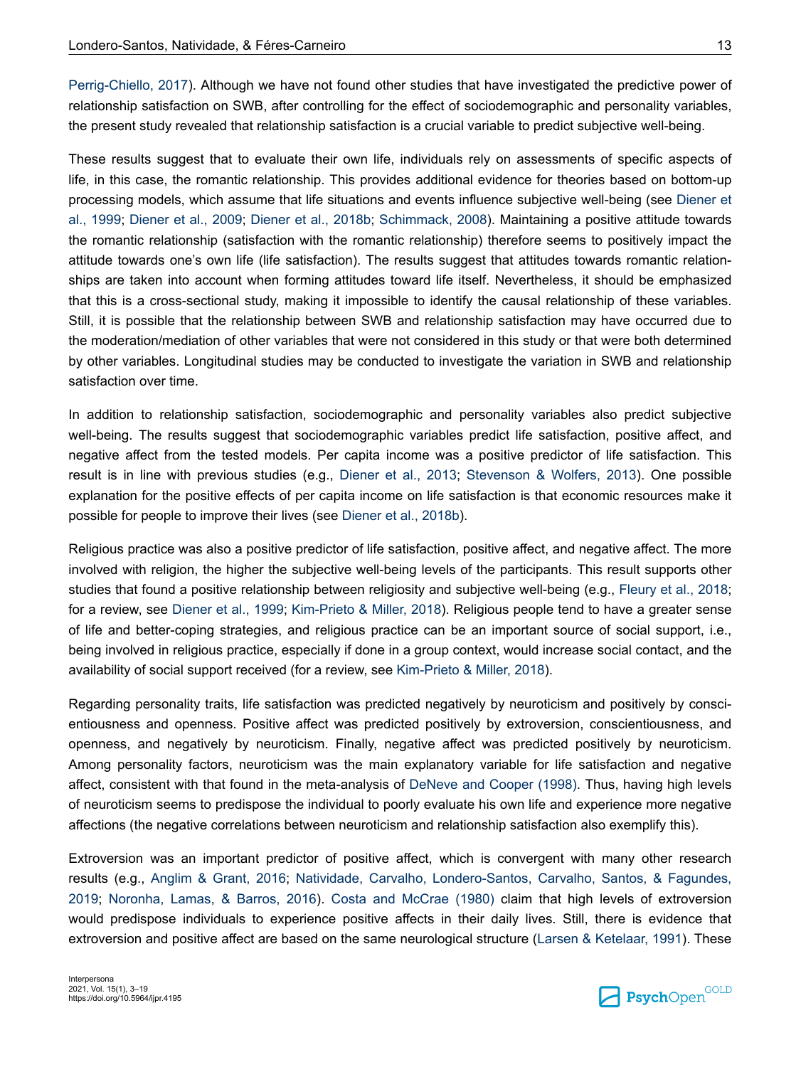[Perrig-Chiello, 2017\)](#page-14-0). Although we have not found other studies that have investigated the predictive power of relationship satisfaction on SWB, after controlling for the effect of sociodemographic and personality variables, the present study revealed that relationship satisfaction is a crucial variable to predict subjective well-being.

These results suggest that to evaluate their own life, individuals rely on assessments of specific aspects of life, in this case, the romantic relationship. This provides additional evidence for theories based on bottom-up processing models, which assume that life situations and events influence subjective well-being (see [Diener et](#page-12-0) [al., 1999](#page-12-0); [Diener et al., 2009](#page-12-0); [Diener et al., 2018b;](#page-12-0) [Schimmack, 2008](#page-15-0)). Maintaining a positive attitude towards the romantic relationship (satisfaction with the romantic relationship) therefore seems to positively impact the attitude towards one's own life (life satisfaction). The results suggest that attitudes towards romantic relationships are taken into account when forming attitudes toward life itself. Nevertheless, it should be emphasized that this is a cross-sectional study, making it impossible to identify the causal relationship of these variables. Still, it is possible that the relationship between SWB and relationship satisfaction may have occurred due to the moderation/mediation of other variables that were not considered in this study or that were both determined by other variables. Longitudinal studies may be conducted to investigate the variation in SWB and relationship satisfaction over time.

In addition to relationship satisfaction, sociodemographic and personality variables also predict subjective well-being. The results suggest that sociodemographic variables predict life satisfaction, positive affect, and negative affect from the tested models. Per capita income was a positive predictor of life satisfaction. This result is in line with previous studies (e.g., [Diener et al., 2013;](#page-12-0) [Stevenson & Wolfers, 2013](#page-15-0)). One possible explanation for the positive effects of per capita income on life satisfaction is that economic resources make it possible for people to improve their lives (see [Diener et al., 2018b\)](#page-12-0).

Religious practice was also a positive predictor of life satisfaction, positive affect, and negative affect. The more involved with religion, the higher the subjective well-being levels of the participants. This result supports other studies that found a positive relationship between religiosity and subjective well-being (e.g., [Fleury et al., 2018](#page-13-0); for a review, see [Diener et al., 1999](#page-12-0); [Kim-Prieto & Miller, 2018](#page-13-0)). Religious people tend to have a greater sense of life and better-coping strategies, and religious practice can be an important source of social support, i.e., being involved in religious practice, especially if done in a group context, would increase social contact, and the availability of social support received (for a review, see [Kim-Prieto & Miller, 2018](#page-13-0)).

Regarding personality traits, life satisfaction was predicted negatively by neuroticism and positively by conscientiousness and openness. Positive affect was predicted positively by extroversion, conscientiousness, and openness, and negatively by neuroticism. Finally, negative affect was predicted positively by neuroticism. Among personality factors, neuroticism was the main explanatory variable for life satisfaction and negative affect, consistent with that found in the meta-analysis of [DeNeve and Cooper \(1998\)](#page-12-0). Thus, having high levels of neuroticism seems to predispose the individual to poorly evaluate his own life and experience more negative affections (the negative correlations between neuroticism and relationship satisfaction also exemplify this).

Extroversion was an important predictor of positive affect, which is convergent with many other research results (e.g., [Anglim & Grant, 2016;](#page-11-0) [Natividade, Carvalho, Londero-Santos, Carvalho, Santos, & Fagundes,](#page-14-0) [2019](#page-14-0); [Noronha, Lamas, & Barros, 2016](#page-14-0)). [Costa and McCrae \(1980\)](#page-12-0) claim that high levels of extroversion would predispose individuals to experience positive affects in their daily lives. Still, there is evidence that extroversion and positive affect are based on the same neurological structure ([Larsen & Ketelaar, 1991](#page-13-0)). These

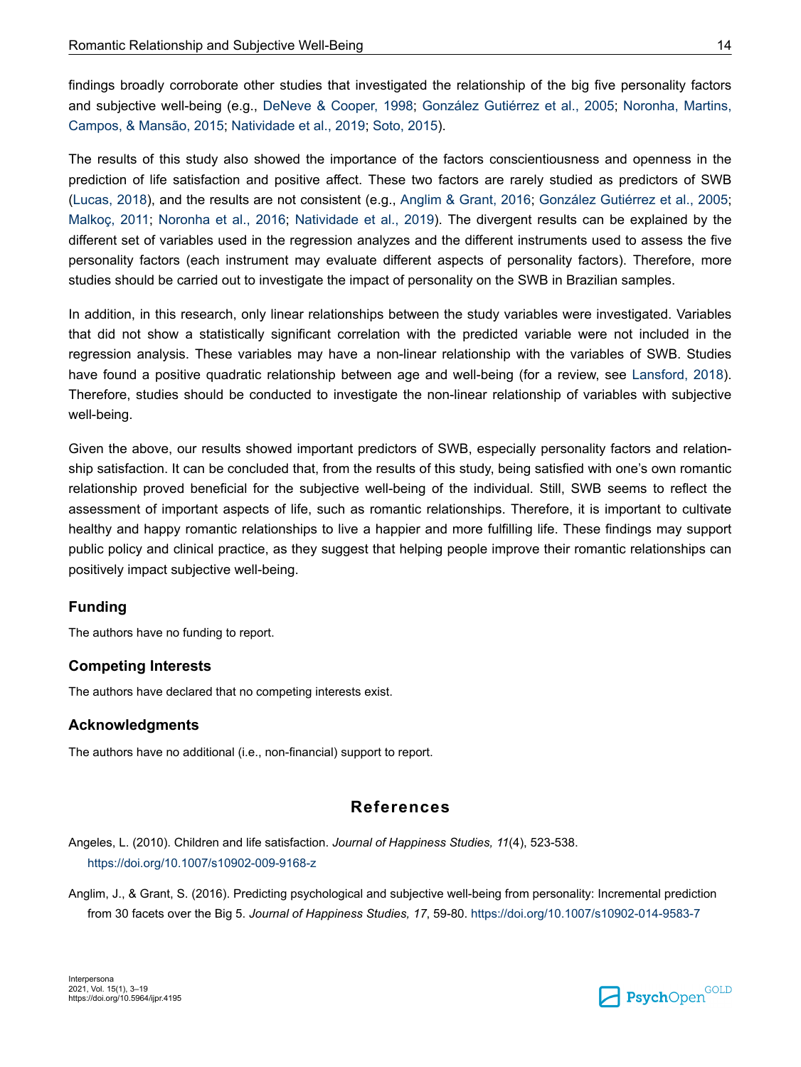<span id="page-11-0"></span>findings broadly corroborate other studies that investigated the relationship of the big five personality factors and subjective well-being (e.g., [DeNeve & Cooper, 1998](#page-12-0); [González Gutiérrez et al., 2005;](#page-13-0) [Noronha, Martins,](#page-14-0) [Campos, & Mansão, 2015; Natividade et al., 2019;](#page-14-0) [Soto, 2015\)](#page-15-0).

The results of this study also showed the importance of the factors conscientiousness and openness in the prediction of life satisfaction and positive affect. These two factors are rarely studied as predictors of SWB [\(Lucas, 2018](#page-14-0)), and the results are not consistent (e.g., Anglim & Grant, 2016; [González Gutiérrez et al., 2005](#page-13-0); [Malkoç, 2011](#page-14-0); [Noronha et al., 2016;](#page-14-0) [Natividade et al., 2019\)](#page-14-0). The divergent results can be explained by the different set of variables used in the regression analyzes and the different instruments used to assess the five personality factors (each instrument may evaluate different aspects of personality factors). Therefore, more studies should be carried out to investigate the impact of personality on the SWB in Brazilian samples.

In addition, in this research, only linear relationships between the study variables were investigated. Variables that did not show a statistically significant correlation with the predicted variable were not included in the regression analysis. These variables may have a non-linear relationship with the variables of SWB. Studies have found a positive quadratic relationship between age and well-being (for a review, see [Lansford, 2018](#page-13-0)). Therefore, studies should be conducted to investigate the non-linear relationship of variables with subjective well-being.

Given the above, our results showed important predictors of SWB, especially personality factors and relationship satisfaction. It can be concluded that, from the results of this study, being satisfied with one's own romantic relationship proved beneficial for the subjective well-being of the individual. Still, SWB seems to reflect the assessment of important aspects of life, such as romantic relationships. Therefore, it is important to cultivate healthy and happy romantic relationships to live a happier and more fulfilling life. These findings may support public policy and clinical practice, as they suggest that helping people improve their romantic relationships can positively impact subjective well-being.

#### **Funding**

The authors have no funding to report.

#### **Competing Interests**

The authors have declared that no competing interests exist.

#### **Acknowledgments**

The authors have no additional (i.e., non-financial) support to report.

## **References**

Angeles, L. (2010). Children and life satisfaction. *Journal of Happiness Studies, 11*(4), 523-538. <https://doi.org/10.1007/s10902-009-9168-z>

Anglim, J., & Grant, S. (2016). Predicting psychological and subjective well-being from personality: Incremental prediction from 30 facets over the Big 5. *Journal of Happiness Studies, 17*, 59-80.<https://doi.org/10.1007/s10902-014-9583-7>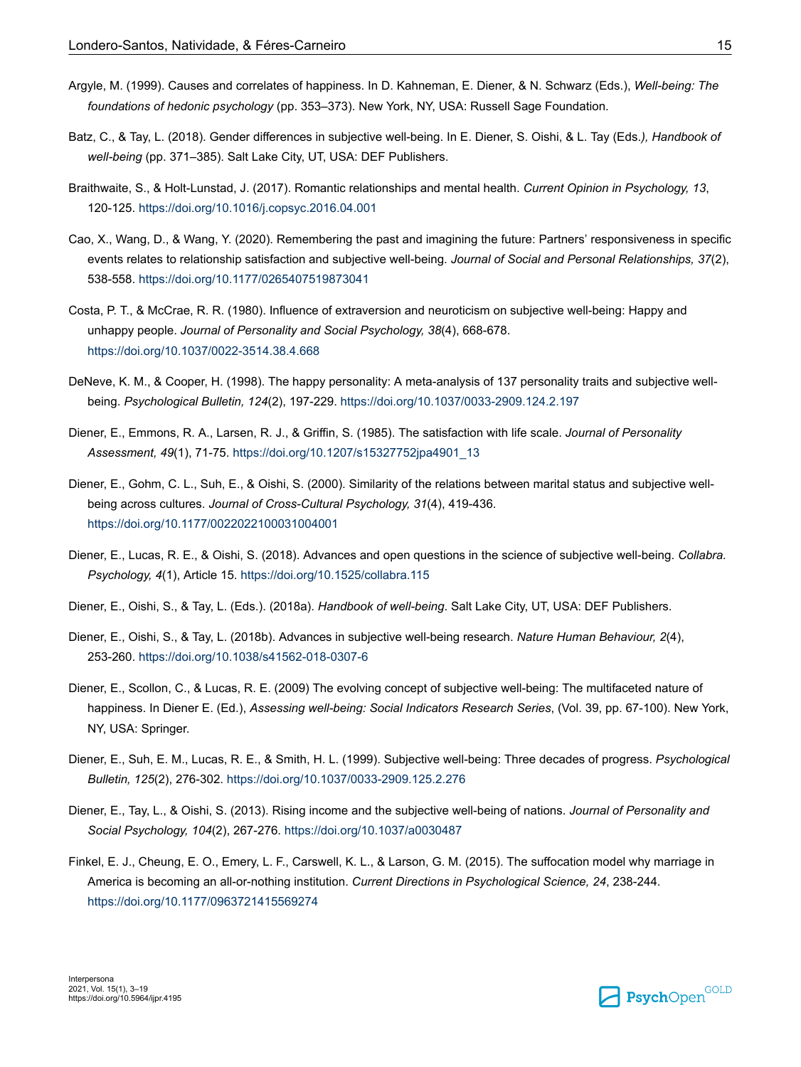- <span id="page-12-0"></span>Argyle, M. (1999). Causes and correlates of happiness. In D. Kahneman, E. Diener, & N. Schwarz (Eds.), *Well-being: The foundations of hedonic psychology* (pp. 353–373). New York, NY, USA: Russell Sage Foundation.
- Batz, C., & Tay, L. (2018). Gender differences in subjective well-being. In E. Diener, S. Oishi, & L. Tay (Eds.*), Handbook of well-being* (pp. 371–385). Salt Lake City, UT, USA: DEF Publishers.
- Braithwaite, S., & Holt-Lunstad, J. (2017). Romantic relationships and mental health. *Current Opinion in Psychology, 13*, 120-125.<https://doi.org/10.1016/j.copsyc.2016.04.001>
- Cao, X., Wang, D., & Wang, Y. (2020). Remembering the past and imagining the future: Partners' responsiveness in specific events relates to relationship satisfaction and subjective well-being. *Journal of Social and Personal Relationships, 37*(2), 538-558.<https://doi.org/10.1177/0265407519873041>
- Costa, P. T., & McCrae, R. R. (1980). Influence of extraversion and neuroticism on subjective well-being: Happy and unhappy people. *Journal of Personality and Social Psychology, 38*(4), 668-678. <https://doi.org/10.1037/0022-3514.38.4.668>
- DeNeve, K. M., & Cooper, H. (1998). The happy personality: A meta-analysis of 137 personality traits and subjective wellbeing. *Psychological Bulletin, 124*(2), 197-229.<https://doi.org/10.1037/0033-2909.124.2.197>
- Diener, E., Emmons, R. A., Larsen, R. J., & Griffin, S. (1985). The satisfaction with life scale. *Journal of Personality Assessment, 49*(1), 71-75. [https://doi.org/10.1207/s15327752jpa4901\\_13](https://doi.org/10.1207/s15327752jpa4901_13)
- Diener, E., Gohm, C. L., Suh, E., & Oishi, S. (2000). Similarity of the relations between marital status and subjective wellbeing across cultures. *Journal of Cross-Cultural Psychology, 31*(4), 419-436. <https://doi.org/10.1177/0022022100031004001>
- Diener, E., Lucas, R. E., & Oishi, S. (2018). Advances and open questions in the science of subjective well-being. *Collabra. Psychology, 4*(1), Article 15.<https://doi.org/10.1525/collabra.115>
- Diener, E., Oishi, S., & Tay, L. (Eds.). (2018a). *Handbook of well-being*. Salt Lake City, UT, USA: DEF Publishers.
- Diener, E., Oishi, S., & Tay, L. (2018b). Advances in subjective well-being research. *Nature Human Behaviour, 2*(4), 253-260.<https://doi.org/10.1038/s41562-018-0307-6>
- Diener, E., Scollon, C., & Lucas, R. E. (2009) The evolving concept of subjective well-being: The multifaceted nature of happiness. In Diener E. (Ed.), *Assessing well-being: Social Indicators Research Series*, (Vol. 39, pp. 67-100). New York, NY, USA: Springer.
- Diener, E., Suh, E. M., Lucas, R. E., & Smith, H. L. (1999). Subjective well-being: Three decades of progress. *Psychological Bulletin, 125*(2), 276-302. <https://doi.org/10.1037/0033-2909.125.2.276>
- Diener, E., Tay, L., & Oishi, S. (2013). Rising income and the subjective well-being of nations. *Journal of Personality and Social Psychology, 104*(2), 267-276. <https://doi.org/10.1037/a0030487>
- Finkel, E. J., Cheung, E. O., Emery, L. F., Carswell, K. L., & Larson, G. M. (2015). The suffocation model why marriage in America is becoming an all-or-nothing institution. *Current Directions in Psychological Science, 24*, 238-244. <https://doi.org/10.1177/0963721415569274>

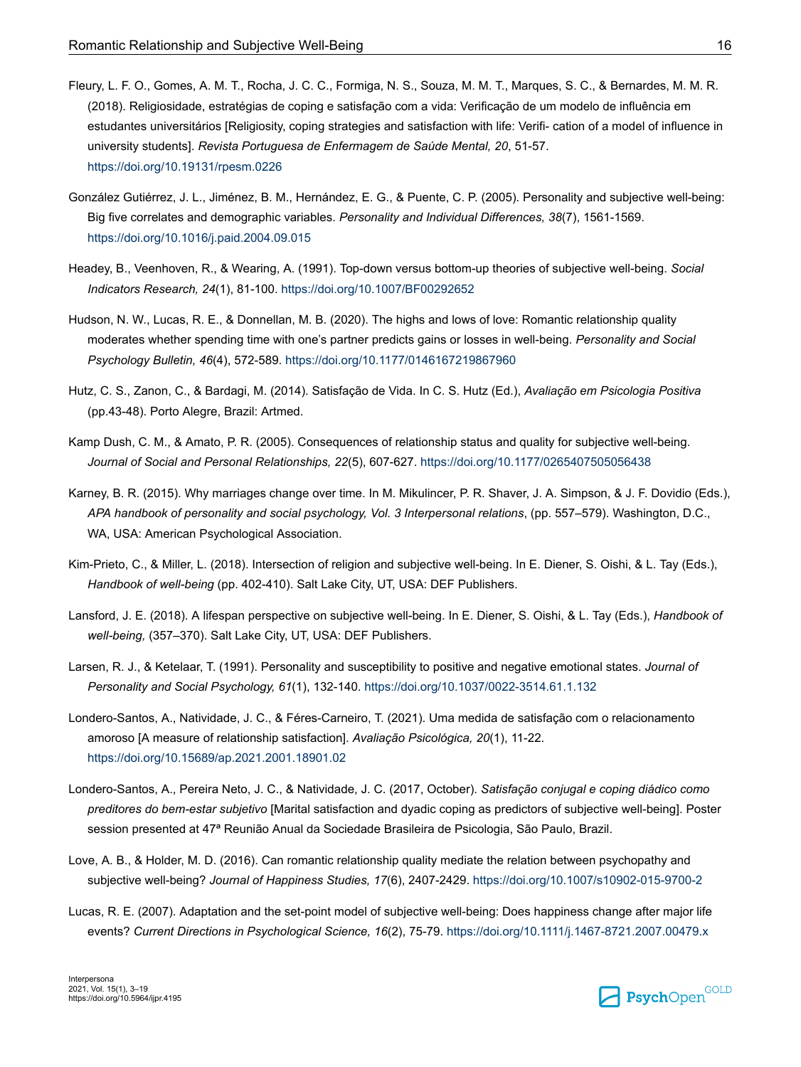- <span id="page-13-0"></span>Fleury, L. F. O., Gomes, A. M. T., Rocha, J. C. C., Formiga, N. S., Souza, M. M. T., Marques, S. C., & Bernardes, M. M. R. (2018). Religiosidade, estratégias de coping e satisfação com a vida: Verificação de um modelo de influência em estudantes universitários [Religiosity, coping strategies and satisfaction with life: Verifi- cation of a model of influence in university students]. *Revista Portuguesa de Enfermagem de Saúde Mental, 20*, 51-57. <https://doi.org/10.19131/rpesm.0226>
- González Gutiérrez, J. L., Jiménez, B. M., Hernández, E. G., & Puente, C. P. (2005). Personality and subjective well-being: Big five correlates and demographic variables. *Personality and Individual Differences, 38*(7), 1561-1569. <https://doi.org/10.1016/j.paid.2004.09.015>
- Headey, B., Veenhoven, R., & Wearing, A. (1991). Top-down versus bottom-up theories of subjective well-being. *Social Indicators Research, 24*(1), 81-100.<https://doi.org/10.1007/BF00292652>
- Hudson, N. W., Lucas, R. E., & Donnellan, M. B. (2020). The highs and lows of love: Romantic relationship quality moderates whether spending time with one's partner predicts gains or losses in well-being. *Personality and Social Psychology Bulletin, 46*(4), 572-589.<https://doi.org/10.1177/0146167219867960>
- Hutz, C. S., Zanon, C., & Bardagi, M. (2014). Satisfação de Vida. In C. S. Hutz (Ed.), *Avaliação em Psicologia Positiva*  (pp.43-48). Porto Alegre, Brazil: Artmed.
- Kamp Dush, C. M., & Amato, P. R. (2005). Consequences of relationship status and quality for subjective well-being. *Journal of Social and Personal Relationships, 22*(5), 607-627. <https://doi.org/10.1177/0265407505056438>
- Karney, B. R. (2015). Why marriages change over time. In M. Mikulincer, P. R. Shaver, J. A. Simpson, & J. F. Dovidio (Eds.), *APA handbook of personality and social psychology, Vol. 3 Interpersonal relations*, (pp. 557–579). Washington, D.C., WA, USA: American Psychological Association.
- Kim-Prieto, C., & Miller, L. (2018). Intersection of religion and subjective well-being. In E. Diener, S. Oishi, & L. Tay (Eds.), *Handbook of well-being* (pp. 402-410). Salt Lake City, UT, USA: DEF Publishers.
- Lansford, J. E. (2018). A lifespan perspective on subjective well-being. In E. Diener, S. Oishi, & L. Tay (Eds.), *Handbook of well-being,* (357–370). Salt Lake City, UT, USA: DEF Publishers.
- Larsen, R. J., & Ketelaar, T. (1991). Personality and susceptibility to positive and negative emotional states. *Journal of Personality and Social Psychology, 61*(1), 132-140.<https://doi.org/10.1037/0022-3514.61.1.132>
- Londero-Santos, A., Natividade, J. C., & Féres-Carneiro, T. (2021). Uma medida de satisfação com o relacionamento amoroso [A measure of relationship satisfaction]. *Avaliação Psicológica, 20*(1), 11-22. <https://doi.org/10.15689/ap.2021.2001.18901.02>
- Londero-Santos, A., Pereira Neto, J. C., & Natividade, J. C. (2017, October). *Satisfação conjugal e coping diádico como preditores do bem-estar subjetivo* [Marital satisfaction and dyadic coping as predictors of subjective well-being]. Poster session presented at 47ª Reunião Anual da Sociedade Brasileira de Psicologia, São Paulo, Brazil.
- Love, A. B., & Holder, M. D. (2016). Can romantic relationship quality mediate the relation between psychopathy and subjective well-being? *Journal of Happiness Studies, 17*(6), 2407-2429. <https://doi.org/10.1007/s10902-015-9700-2>
- Lucas, R. E. (2007). Adaptation and the set-point model of subjective well-being: Does happiness change after major life events? *Current Directions in Psychological Science, 16*(2), 75-79.<https://doi.org/10.1111/j.1467-8721.2007.00479.x>

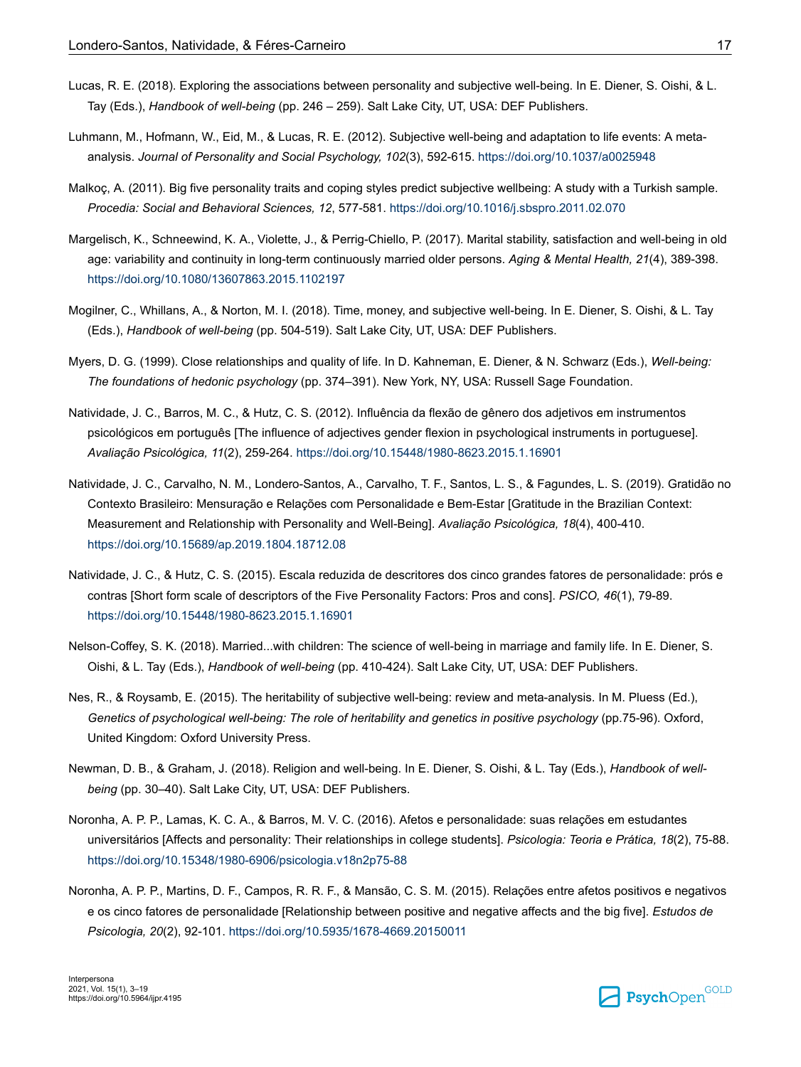- <span id="page-14-0"></span>Lucas, R. E. (2018). Exploring the associations between personality and subjective well-being. In E. Diener, S. Oishi, & L. Tay (Eds.), *Handbook of well-being* (pp. 246 – 259). Salt Lake City, UT, USA: DEF Publishers.
- Luhmann, M., Hofmann, W., Eid, M., & Lucas, R. E. (2012). Subjective well-being and adaptation to life events: A metaanalysis. *Journal of Personality and Social Psychology, 102*(3), 592-615. <https://doi.org/10.1037/a0025948>
- Malkoç, A. (2011). Big five personality traits and coping styles predict subjective wellbeing: A study with a Turkish sample. *Procedia: Social and Behavioral Sciences, 12*, 577-581. <https://doi.org/10.1016/j.sbspro.2011.02.070>
- Margelisch, K., Schneewind, K. A., Violette, J., & Perrig-Chiello, P. (2017). Marital stability, satisfaction and well-being in old age: variability and continuity in long-term continuously married older persons. *Aging & Mental Health, 21*(4), 389-398. <https://doi.org/10.1080/13607863.2015.1102197>
- Mogilner, C., Whillans, A., & Norton, M. I. (2018). Time, money, and subjective well-being. In E. Diener, S. Oishi, & L. Tay (Eds.), *Handbook of well-being* (pp. 504-519). Salt Lake City, UT, USA: DEF Publishers.
- Myers, D. G. (1999). Close relationships and quality of life. In D. Kahneman, E. Diener, & N. Schwarz (Eds.), *Well-being: The foundations of hedonic psychology* (pp. 374–391). New York, NY, USA: Russell Sage Foundation.
- Natividade, J. C., Barros, M. C., & Hutz, C. S. (2012). Influência da flexão de gênero dos adjetivos em instrumentos psicológicos em português [The influence of adjectives gender flexion in psychological instruments in portuguese]. *Avaliação Psicológica, 11*(2), 259-264.<https://doi.org/10.15448/1980-8623.2015.1.16901>
- Natividade, J. C., Carvalho, N. M., Londero-Santos, A., Carvalho, T. F., Santos, L. S., & Fagundes, L. S. (2019). Gratidão no Contexto Brasileiro: Mensuração e Relações com Personalidade e Bem-Estar [Gratitude in the Brazilian Context: Measurement and Relationship with Personality and Well-Being]. *Avaliação Psicológica, 18*(4), 400-410. <https://doi.org/10.15689/ap.2019.1804.18712.08>
- Natividade, J. C., & Hutz, C. S. (2015). Escala reduzida de descritores dos cinco grandes fatores de personalidade: prós e contras [Short form scale of descriptors of the Five Personality Factors: Pros and cons]. *PSICO, 46*(1), 79-89. <https://doi.org/10.15448/1980-8623.2015.1.16901>
- Nelson-Coffey, S. K. (2018). Married...with children: The science of well-being in marriage and family life. In E. Diener, S. Oishi, & L. Tay (Eds.), *Handbook of well-being* (pp. 410-424). Salt Lake City, UT, USA: DEF Publishers.
- Nes, R., & Roysamb, E. (2015). The heritability of subjective well-being: review and meta-analysis. In M. Pluess (Ed.), *Genetics of psychological well-being: The role of heritability and genetics in positive psychology* (pp.75-96). Oxford, United Kingdom: Oxford University Press.
- Newman, D. B., & Graham, J. (2018). Religion and well-being. In E. Diener, S. Oishi, & L. Tay (Eds.), *Handbook of wellbeing* (pp. 30–40). Salt Lake City, UT, USA: DEF Publishers.
- Noronha, A. P. P., Lamas, K. C. A., & Barros, M. V. C. (2016). Afetos e personalidade: suas relações em estudantes universitários [Affects and personality: Their relationships in college students]. *Psicologia: Teoria e Prática, 18*(2), 75-88. <https://doi.org/10.15348/1980-6906/psicologia.v18n2p75-88>
- Noronha, A. P. P., Martins, D. F., Campos, R. R. F., & Mansão, C. S. M. (2015). Relações entre afetos positivos e negativos e os cinco fatores de personalidade [Relationship between positive and negative affects and the big five]. *Estudos de Psicologia, 20*(2), 92-101.<https://doi.org/10.5935/1678-4669.20150011>

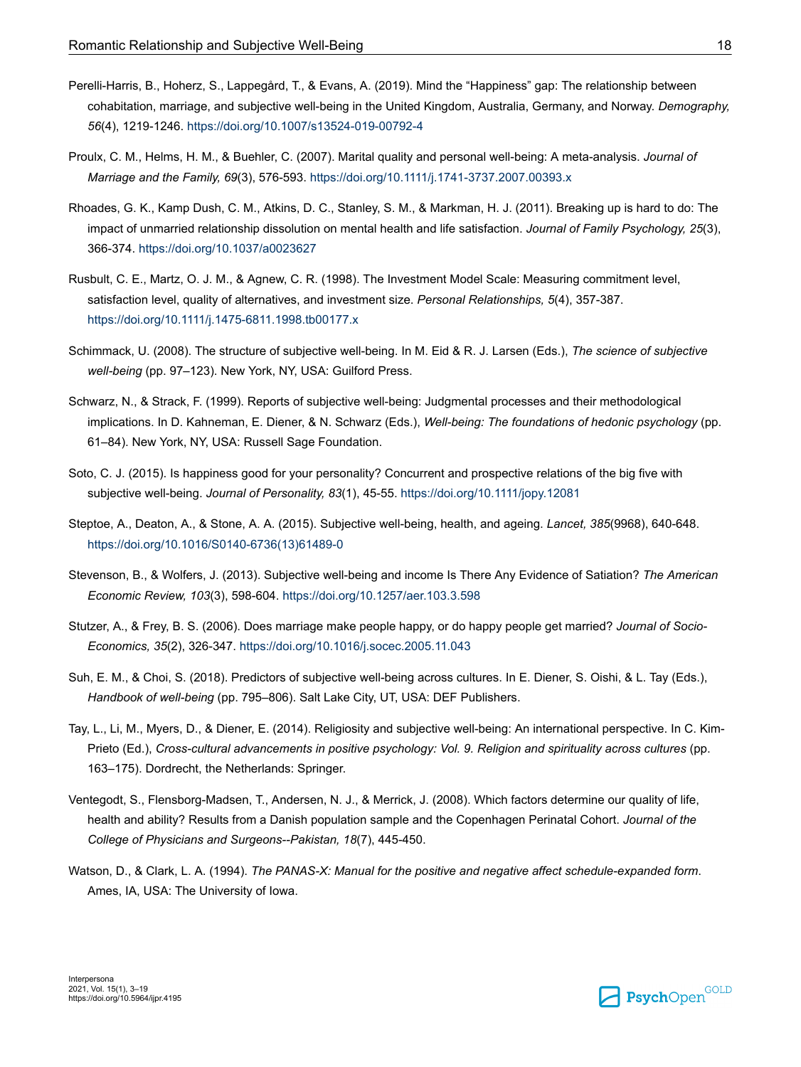- <span id="page-15-0"></span>Perelli-Harris, B., Hoherz, S., Lappegård, T., & Evans, A. (2019). Mind the "Happiness" gap: The relationship between cohabitation, marriage, and subjective well-being in the United Kingdom, Australia, Germany, and Norway. *Demography, 56*(4), 1219-1246.<https://doi.org/10.1007/s13524-019-00792-4>
- Proulx, C. M., Helms, H. M., & Buehler, C. (2007). Marital quality and personal well-being: A meta-analysis. *Journal of Marriage and the Family, 69*(3), 576-593. <https://doi.org/10.1111/j.1741-3737.2007.00393.x>
- Rhoades, G. K., Kamp Dush, C. M., Atkins, D. C., Stanley, S. M., & Markman, H. J. (2011). Breaking up is hard to do: The impact of unmarried relationship dissolution on mental health and life satisfaction. *Journal of Family Psychology, 25*(3), 366-374.<https://doi.org/10.1037/a0023627>
- Rusbult, C. E., Martz, O. J. M., & Agnew, C. R. (1998). The Investment Model Scale: Measuring commitment level, satisfaction level, quality of alternatives, and investment size. *Personal Relationships, 5*(4), 357-387. <https://doi.org/10.1111/j.1475-6811.1998.tb00177.x>
- Schimmack, U. (2008). The structure of subjective well-being. In M. Eid & R. J. Larsen (Eds.), *The science of subjective well-being* (pp. 97–123). New York, NY, USA: Guilford Press.
- Schwarz, N., & Strack, F. (1999). Reports of subjective well-being: Judgmental processes and their methodological implications. In D. Kahneman, E. Diener, & N. Schwarz (Eds.), *Well-being: The foundations of hedonic psychology* (pp. 61–84). New York, NY, USA: Russell Sage Foundation.
- Soto, C. J. (2015). Is happiness good for your personality? Concurrent and prospective relations of the big five with subjective well-being. *Journal of Personality, 83*(1), 45-55.<https://doi.org/10.1111/jopy.12081>
- Steptoe, A., Deaton, A., & Stone, A. A. (2015). Subjective well-being, health, and ageing. *Lancet, 385*(9968), 640-648. [https://doi.org/10.1016/S0140-6736\(13\)61489-0](https://doi.org/10.1016/S0140-6736(13)61489-0)
- Stevenson, B., & Wolfers, J. (2013). Subjective well-being and income Is There Any Evidence of Satiation? *The American Economic Review, 103*(3), 598-604.<https://doi.org/10.1257/aer.103.3.598>
- Stutzer, A., & Frey, B. S. (2006). Does marriage make people happy, or do happy people get married? *Journal of Socio-Economics, 35*(2), 326-347.<https://doi.org/10.1016/j.socec.2005.11.043>
- Suh, E. M., & Choi, S. (2018). Predictors of subjective well-being across cultures. In E. Diener, S. Oishi, & L. Tay (Eds.), *Handbook of well-being* (pp. 795–806). Salt Lake City, UT, USA: DEF Publishers.
- Tay, L., Li, M., Myers, D., & Diener, E. (2014). Religiosity and subjective well-being: An international perspective. In C. Kim-Prieto (Ed.), *Cross-cultural advancements in positive psychology: Vol. 9. Religion and spirituality across cultures* (pp. 163–175). Dordrecht, the Netherlands: Springer.
- Ventegodt, S., Flensborg-Madsen, T., Andersen, N. J., & Merrick, J. (2008). Which factors determine our quality of life, health and ability? Results from a Danish population sample and the Copenhagen Perinatal Cohort. *Journal of the College of Physicians and Surgeons--Pakistan, 18*(7), 445-450.
- Watson, D., & Clark, L. A. (1994). *The PANAS-X: Manual for the positive and negative affect schedule-expanded form*. Ames, IA, USA: The University of Iowa.